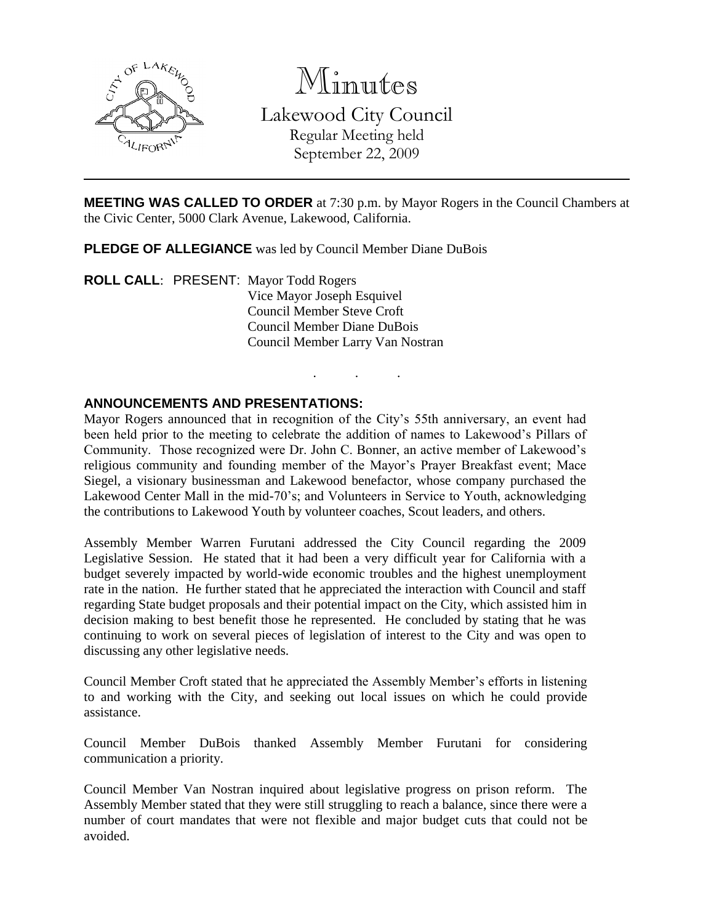

Minutes Lakewood City Council Regular Meeting held September 22, 2009

**MEETING WAS CALLED TO ORDER** at 7:30 p.m. by Mayor Rogers in the Council Chambers at the Civic Center, 5000 Clark Avenue, Lakewood, California.

. . .

**PLEDGE OF ALLEGIANCE** was led by Council Member Diane DuBois

**ROLL CALL**: PRESENT: Mayor Todd Rogers Vice Mayor Joseph Esquivel Council Member Steve Croft Council Member Diane DuBois Council Member Larry Van Nostran

#### **ANNOUNCEMENTS AND PRESENTATIONS:**

Mayor Rogers announced that in recognition of the City's 55th anniversary, an event had been held prior to the meeting to celebrate the addition of names to Lakewood's Pillars of Community. Those recognized were Dr. John C. Bonner, an active member of Lakewood's religious community and founding member of the Mayor's Prayer Breakfast event; Mace Siegel, a visionary businessman and Lakewood benefactor, whose company purchased the Lakewood Center Mall in the mid-70's; and Volunteers in Service to Youth, acknowledging the contributions to Lakewood Youth by volunteer coaches, Scout leaders, and others.

Assembly Member Warren Furutani addressed the City Council regarding the 2009 Legislative Session. He stated that it had been a very difficult year for California with a budget severely impacted by world-wide economic troubles and the highest unemployment rate in the nation. He further stated that he appreciated the interaction with Council and staff regarding State budget proposals and their potential impact on the City, which assisted him in decision making to best benefit those he represented. He concluded by stating that he was continuing to work on several pieces of legislation of interest to the City and was open to discussing any other legislative needs.

Council Member Croft stated that he appreciated the Assembly Member's efforts in listening to and working with the City, and seeking out local issues on which he could provide assistance.

Council Member DuBois thanked Assembly Member Furutani for considering communication a priority.

Council Member Van Nostran inquired about legislative progress on prison reform. The Assembly Member stated that they were still struggling to reach a balance, since there were a number of court mandates that were not flexible and major budget cuts that could not be avoided.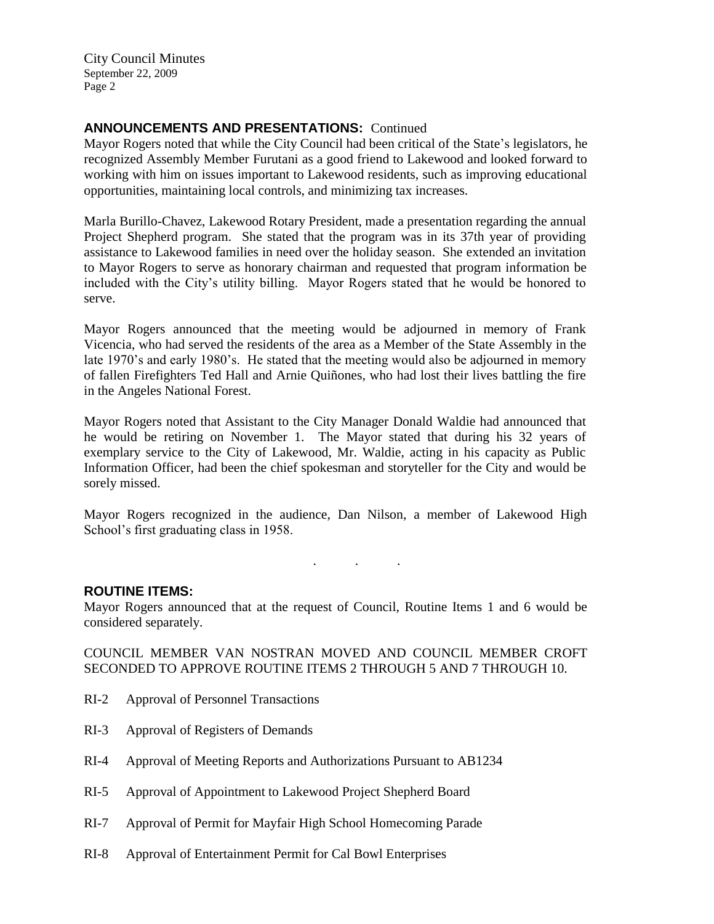## **ANNOUNCEMENTS AND PRESENTATIONS:** Continued

Mayor Rogers noted that while the City Council had been critical of the State's legislators, he recognized Assembly Member Furutani as a good friend to Lakewood and looked forward to working with him on issues important to Lakewood residents, such as improving educational opportunities, maintaining local controls, and minimizing tax increases.

Marla Burillo-Chavez, Lakewood Rotary President, made a presentation regarding the annual Project Shepherd program. She stated that the program was in its 37th year of providing assistance to Lakewood families in need over the holiday season. She extended an invitation to Mayor Rogers to serve as honorary chairman and requested that program information be included with the City's utility billing. Mayor Rogers stated that he would be honored to serve.

Mayor Rogers announced that the meeting would be adjourned in memory of Frank Vicencia, who had served the residents of the area as a Member of the State Assembly in the late 1970's and early 1980's. He stated that the meeting would also be adjourned in memory of fallen Firefighters Ted Hall and Arnie Quiñones, who had lost their lives battling the fire in the Angeles National Forest.

Mayor Rogers noted that Assistant to the City Manager Donald Waldie had announced that he would be retiring on November 1. The Mayor stated that during his 32 years of exemplary service to the City of Lakewood, Mr. Waldie, acting in his capacity as Public Information Officer, had been the chief spokesman and storyteller for the City and would be sorely missed.

Mayor Rogers recognized in the audience, Dan Nilson, a member of Lakewood High School's first graduating class in 1958.

. . .

#### **ROUTINE ITEMS:**

Mayor Rogers announced that at the request of Council, Routine Items 1 and 6 would be considered separately.

#### COUNCIL MEMBER VAN NOSTRAN MOVED AND COUNCIL MEMBER CROFT SECONDED TO APPROVE ROUTINE ITEMS 2 THROUGH 5 AND 7 THROUGH 10.

- RI-2 Approval of Personnel Transactions
- RI-3 Approval of Registers of Demands
- RI-4 Approval of Meeting Reports and Authorizations Pursuant to AB1234
- RI-5 Approval of Appointment to Lakewood Project Shepherd Board
- RI-7 Approval of Permit for Mayfair High School Homecoming Parade
- RI-8 Approval of Entertainment Permit for Cal Bowl Enterprises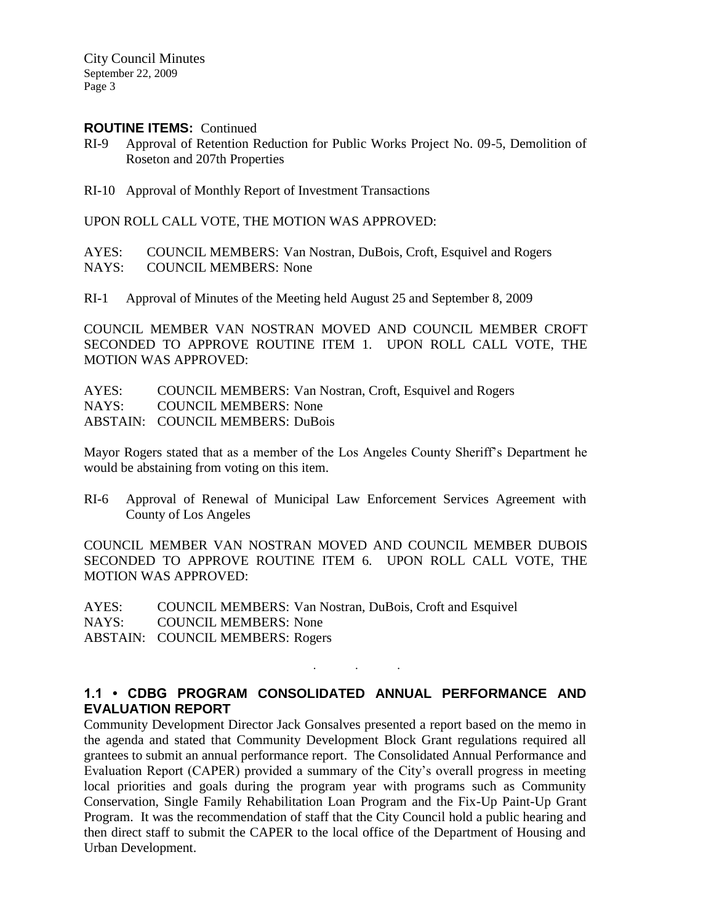#### **ROUTINE ITEMS:** Continued

RI-9 Approval of Retention Reduction for Public Works Project No. 09-5, Demolition of Roseton and 207th Properties

RI-10 Approval of Monthly Report of Investment Transactions

UPON ROLL CALL VOTE, THE MOTION WAS APPROVED:

AYES: COUNCIL MEMBERS: Van Nostran, DuBois, Croft, Esquivel and Rogers NAYS: COUNCIL MEMBERS: None

RI-1 Approval of Minutes of the Meeting held August 25 and September 8, 2009

COUNCIL MEMBER VAN NOSTRAN MOVED AND COUNCIL MEMBER CROFT SECONDED TO APPROVE ROUTINE ITEM 1. UPON ROLL CALL VOTE, THE MOTION WAS APPROVED:

AYES: COUNCIL MEMBERS: Van Nostran, Croft, Esquivel and Rogers NAYS: COUNCIL MEMBERS: None ABSTAIN: COUNCIL MEMBERS: DuBois

Mayor Rogers stated that as a member of the Los Angeles County Sheriff's Department he would be abstaining from voting on this item.

RI-6 Approval of Renewal of Municipal Law Enforcement Services Agreement with County of Los Angeles

COUNCIL MEMBER VAN NOSTRAN MOVED AND COUNCIL MEMBER DUBOIS SECONDED TO APPROVE ROUTINE ITEM 6. UPON ROLL CALL VOTE, THE MOTION WAS APPROVED:

AYES: COUNCIL MEMBERS: Van Nostran, DuBois, Croft and Esquivel NAYS: COUNCIL MEMBERS: None ABSTAIN: COUNCIL MEMBERS: Rogers

### **1.1 • CDBG PROGRAM CONSOLIDATED ANNUAL PERFORMANCE AND EVALUATION REPORT**

. . .

Community Development Director Jack Gonsalves presented a report based on the memo in the agenda and stated that Community Development Block Grant regulations required all grantees to submit an annual performance report. The Consolidated Annual Performance and Evaluation Report (CAPER) provided a summary of the City's overall progress in meeting local priorities and goals during the program year with programs such as Community Conservation, Single Family Rehabilitation Loan Program and the Fix-Up Paint-Up Grant Program. It was the recommendation of staff that the City Council hold a public hearing and then direct staff to submit the CAPER to the local office of the Department of Housing and Urban Development.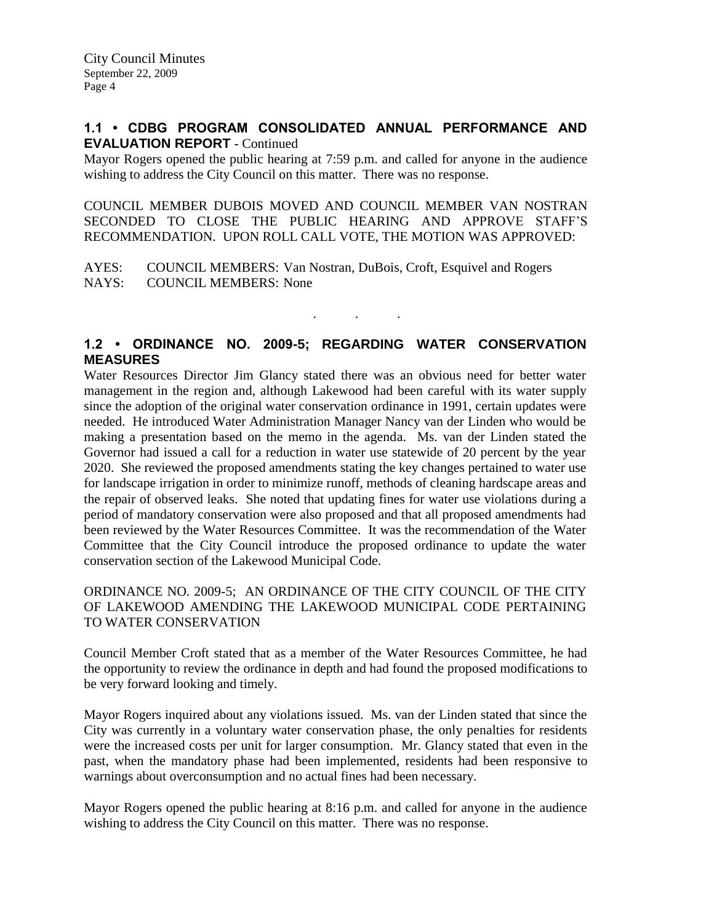### **1.1 • CDBG PROGRAM CONSOLIDATED ANNUAL PERFORMANCE AND EVALUATION REPORT** - Continued

Mayor Rogers opened the public hearing at 7:59 p.m. and called for anyone in the audience wishing to address the City Council on this matter. There was no response.

COUNCIL MEMBER DUBOIS MOVED AND COUNCIL MEMBER VAN NOSTRAN SECONDED TO CLOSE THE PUBLIC HEARING AND APPROVE STAFF'S RECOMMENDATION. UPON ROLL CALL VOTE, THE MOTION WAS APPROVED:

AYES: COUNCIL MEMBERS: Van Nostran, DuBois, Croft, Esquivel and Rogers NAYS: COUNCIL MEMBERS: None

## **1.2 • ORDINANCE NO. 2009-5; REGARDING WATER CONSERVATION MEASURES**

. . .

Water Resources Director Jim Glancy stated there was an obvious need for better water management in the region and, although Lakewood had been careful with its water supply since the adoption of the original water conservation ordinance in 1991, certain updates were needed. He introduced Water Administration Manager Nancy van der Linden who would be making a presentation based on the memo in the agenda. Ms. van der Linden stated the Governor had issued a call for a reduction in water use statewide of 20 percent by the year 2020. She reviewed the proposed amendments stating the key changes pertained to water use for landscape irrigation in order to minimize runoff, methods of cleaning hardscape areas and the repair of observed leaks. She noted that updating fines for water use violations during a period of mandatory conservation were also proposed and that all proposed amendments had been reviewed by the Water Resources Committee. It was the recommendation of the Water Committee that the City Council introduce the proposed ordinance to update the water conservation section of the Lakewood Municipal Code.

### ORDINANCE NO. 2009-5; AN ORDINANCE OF THE CITY COUNCIL OF THE CITY OF LAKEWOOD AMENDING THE LAKEWOOD MUNICIPAL CODE PERTAINING TO WATER CONSERVATION

Council Member Croft stated that as a member of the Water Resources Committee, he had the opportunity to review the ordinance in depth and had found the proposed modifications to be very forward looking and timely.

Mayor Rogers inquired about any violations issued. Ms. van der Linden stated that since the City was currently in a voluntary water conservation phase, the only penalties for residents were the increased costs per unit for larger consumption. Mr. Glancy stated that even in the past, when the mandatory phase had been implemented, residents had been responsive to warnings about overconsumption and no actual fines had been necessary.

Mayor Rogers opened the public hearing at 8:16 p.m. and called for anyone in the audience wishing to address the City Council on this matter. There was no response.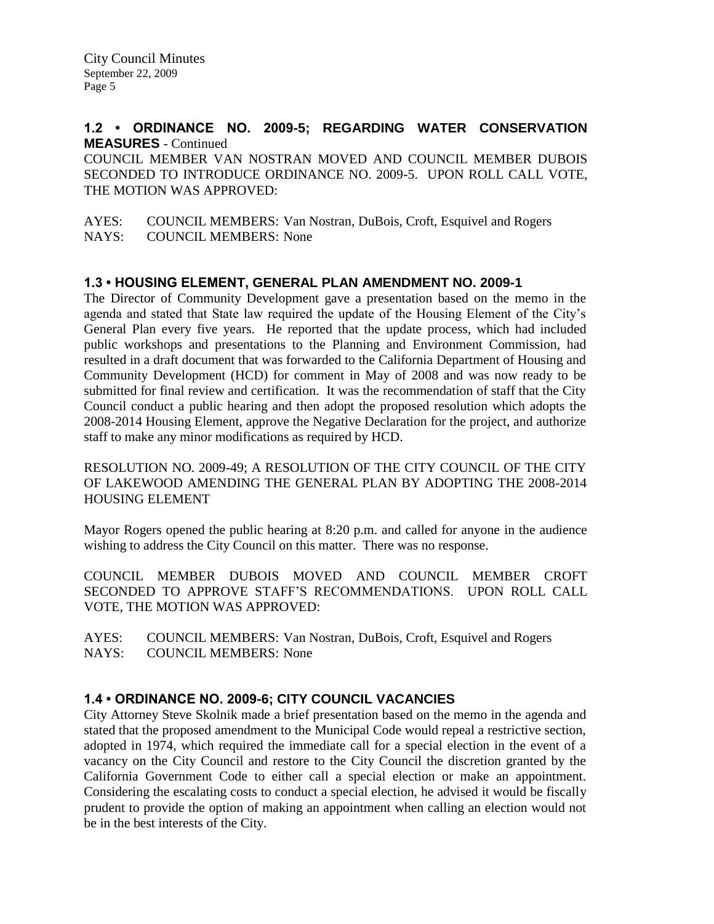### **1.2 • ORDINANCE NO. 2009-5; REGARDING WATER CONSERVATION MEASURES** - Continued

COUNCIL MEMBER VAN NOSTRAN MOVED AND COUNCIL MEMBER DUBOIS SECONDED TO INTRODUCE ORDINANCE NO. 2009-5. UPON ROLL CALL VOTE, THE MOTION WAS APPROVED:

AYES: COUNCIL MEMBERS: Van Nostran, DuBois, Croft, Esquivel and Rogers NAYS: COUNCIL MEMBERS: None

## **1.3 • HOUSING ELEMENT, GENERAL PLAN AMENDMENT NO. 2009-1**

The Director of Community Development gave a presentation based on the memo in the agenda and stated that State law required the update of the Housing Element of the City's General Plan every five years. He reported that the update process, which had included public workshops and presentations to the Planning and Environment Commission, had resulted in a draft document that was forwarded to the California Department of Housing and Community Development (HCD) for comment in May of 2008 and was now ready to be submitted for final review and certification. It was the recommendation of staff that the City Council conduct a public hearing and then adopt the proposed resolution which adopts the 2008-2014 Housing Element, approve the Negative Declaration for the project, and authorize staff to make any minor modifications as required by HCD.

RESOLUTION NO. 2009-49; A RESOLUTION OF THE CITY COUNCIL OF THE CITY OF LAKEWOOD AMENDING THE GENERAL PLAN BY ADOPTING THE 2008-2014 HOUSING ELEMENT

Mayor Rogers opened the public hearing at 8:20 p.m. and called for anyone in the audience wishing to address the City Council on this matter. There was no response.

COUNCIL MEMBER DUBOIS MOVED AND COUNCIL MEMBER CROFT SECONDED TO APPROVE STAFF'S RECOMMENDATIONS. UPON ROLL CALL VOTE, THE MOTION WAS APPROVED:

AYES: COUNCIL MEMBERS: Van Nostran, DuBois, Croft, Esquivel and Rogers NAYS: COUNCIL MEMBERS: None

## **1.4 • ORDINANCE NO. 2009-6; CITY COUNCIL VACANCIES**

City Attorney Steve Skolnik made a brief presentation based on the memo in the agenda and stated that the proposed amendment to the Municipal Code would repeal a restrictive section, adopted in 1974, which required the immediate call for a special election in the event of a vacancy on the City Council and restore to the City Council the discretion granted by the California Government Code to either call a special election or make an appointment. Considering the escalating costs to conduct a special election, he advised it would be fiscally prudent to provide the option of making an appointment when calling an election would not be in the best interests of the City.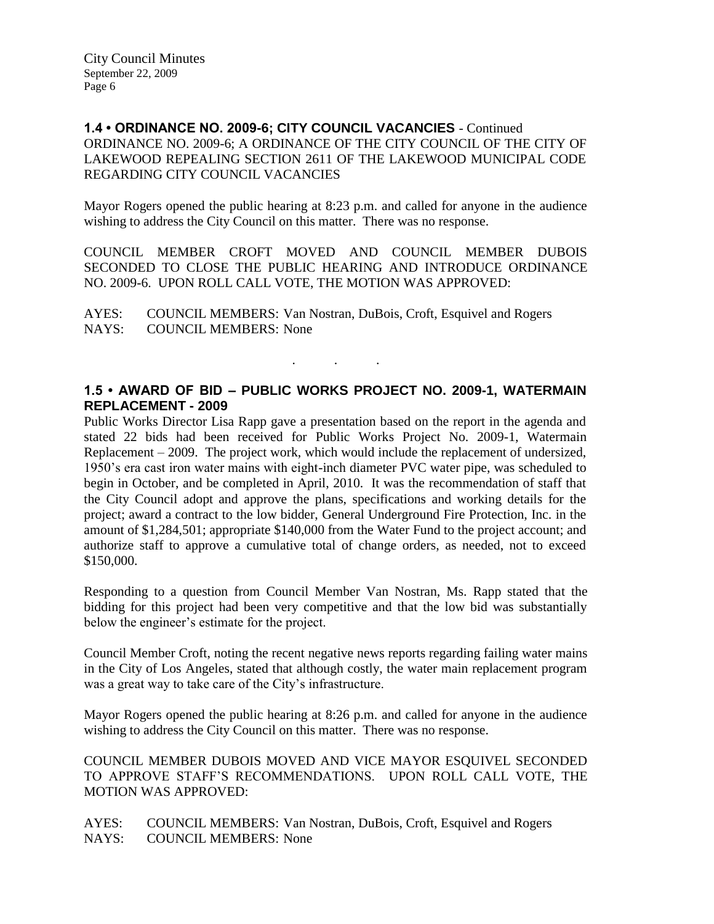### **1.4 • ORDINANCE NO. 2009-6; CITY COUNCIL VACANCIES** - Continued ORDINANCE NO. 2009-6; A ORDINANCE OF THE CITY COUNCIL OF THE CITY OF LAKEWOOD REPEALING SECTION 2611 OF THE LAKEWOOD MUNICIPAL CODE REGARDING CITY COUNCIL VACANCIES

Mayor Rogers opened the public hearing at 8:23 p.m. and called for anyone in the audience wishing to address the City Council on this matter. There was no response.

COUNCIL MEMBER CROFT MOVED AND COUNCIL MEMBER DUBOIS SECONDED TO CLOSE THE PUBLIC HEARING AND INTRODUCE ORDINANCE NO. 2009-6. UPON ROLL CALL VOTE, THE MOTION WAS APPROVED:

AYES: COUNCIL MEMBERS: Van Nostran, DuBois, Croft, Esquivel and Rogers NAYS: COUNCIL MEMBERS: None

. . .

**1.5 • AWARD OF BID – PUBLIC WORKS PROJECT NO. 2009-1, WATERMAIN REPLACEMENT - 2009**

Public Works Director Lisa Rapp gave a presentation based on the report in the agenda and stated 22 bids had been received for Public Works Project No. 2009-1, Watermain Replacement – 2009. The project work, which would include the replacement of undersized, 1950's era cast iron water mains with eight-inch diameter PVC water pipe, was scheduled to begin in October, and be completed in April, 2010. It was the recommendation of staff that the City Council adopt and approve the plans, specifications and working details for the project; award a contract to the low bidder, General Underground Fire Protection, Inc. in the amount of \$1,284,501; appropriate \$140,000 from the Water Fund to the project account; and authorize staff to approve a cumulative total of change orders, as needed, not to exceed \$150,000.

Responding to a question from Council Member Van Nostran, Ms. Rapp stated that the bidding for this project had been very competitive and that the low bid was substantially below the engineer's estimate for the project.

Council Member Croft, noting the recent negative news reports regarding failing water mains in the City of Los Angeles, stated that although costly, the water main replacement program was a great way to take care of the City's infrastructure.

Mayor Rogers opened the public hearing at 8:26 p.m. and called for anyone in the audience wishing to address the City Council on this matter. There was no response.

COUNCIL MEMBER DUBOIS MOVED AND VICE MAYOR ESQUIVEL SECONDED TO APPROVE STAFF'S RECOMMENDATIONS. UPON ROLL CALL VOTE, THE MOTION WAS APPROVED:

AYES: COUNCIL MEMBERS: Van Nostran, DuBois, Croft, Esquivel and Rogers NAYS: COUNCIL MEMBERS: None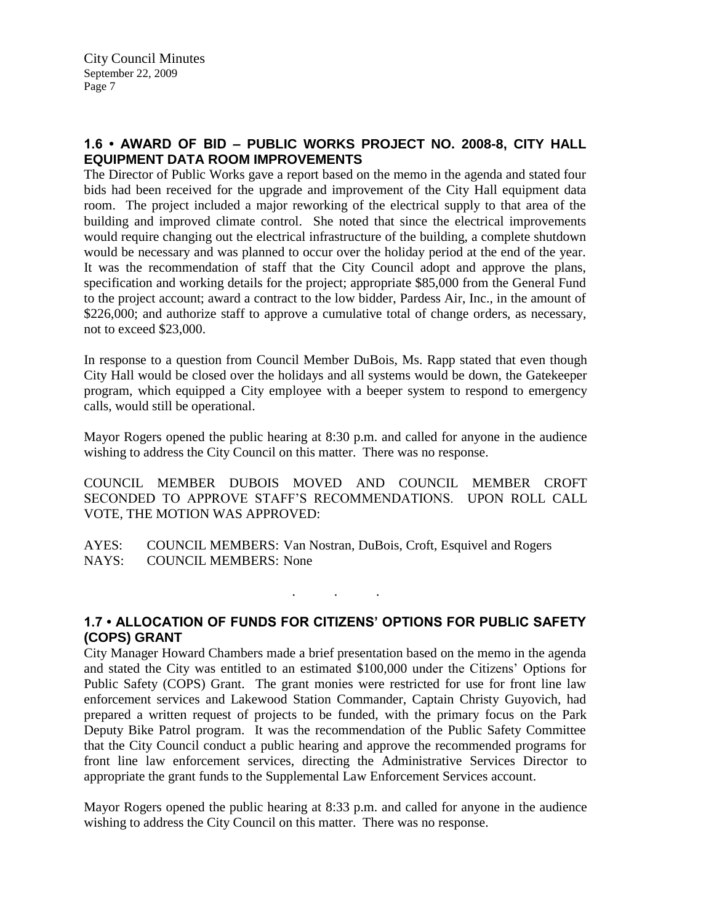## **1.6 • AWARD OF BID – PUBLIC WORKS PROJECT NO. 2008-8, CITY HALL EQUIPMENT DATA ROOM IMPROVEMENTS**

The Director of Public Works gave a report based on the memo in the agenda and stated four bids had been received for the upgrade and improvement of the City Hall equipment data room. The project included a major reworking of the electrical supply to that area of the building and improved climate control. She noted that since the electrical improvements would require changing out the electrical infrastructure of the building, a complete shutdown would be necessary and was planned to occur over the holiday period at the end of the year. It was the recommendation of staff that the City Council adopt and approve the plans, specification and working details for the project; appropriate \$85,000 from the General Fund to the project account; award a contract to the low bidder, Pardess Air, Inc., in the amount of \$226,000; and authorize staff to approve a cumulative total of change orders, as necessary, not to exceed \$23,000.

In response to a question from Council Member DuBois, Ms. Rapp stated that even though City Hall would be closed over the holidays and all systems would be down, the Gatekeeper program, which equipped a City employee with a beeper system to respond to emergency calls, would still be operational.

Mayor Rogers opened the public hearing at 8:30 p.m. and called for anyone in the audience wishing to address the City Council on this matter. There was no response.

COUNCIL MEMBER DUBOIS MOVED AND COUNCIL MEMBER CROFT SECONDED TO APPROVE STAFF'S RECOMMENDATIONS. UPON ROLL CALL VOTE, THE MOTION WAS APPROVED:

AYES: COUNCIL MEMBERS: Van Nostran, DuBois, Croft, Esquivel and Rogers NAYS: COUNCIL MEMBERS: None

**1.7 • ALLOCATION OF FUNDS FOR CITIZENS' OPTIONS FOR PUBLIC SAFETY (COPS) GRANT**

. . .

City Manager Howard Chambers made a brief presentation based on the memo in the agenda and stated the City was entitled to an estimated \$100,000 under the Citizens' Options for Public Safety (COPS) Grant. The grant monies were restricted for use for front line law enforcement services and Lakewood Station Commander, Captain Christy Guyovich, had prepared a written request of projects to be funded, with the primary focus on the Park Deputy Bike Patrol program. It was the recommendation of the Public Safety Committee that the City Council conduct a public hearing and approve the recommended programs for front line law enforcement services, directing the Administrative Services Director to appropriate the grant funds to the Supplemental Law Enforcement Services account.

Mayor Rogers opened the public hearing at 8:33 p.m. and called for anyone in the audience wishing to address the City Council on this matter. There was no response.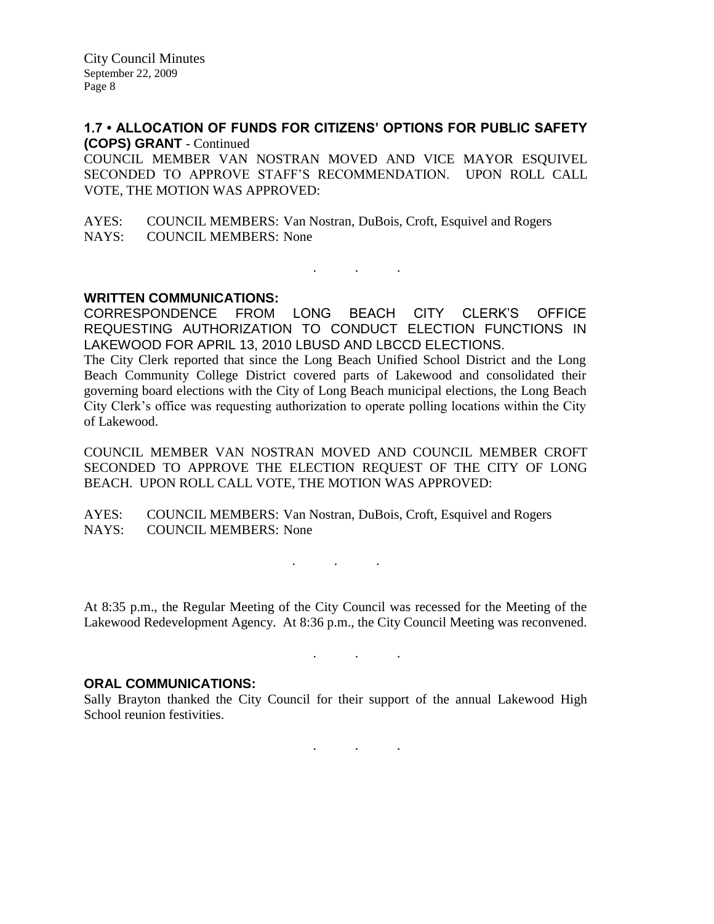### **1.7 • ALLOCATION OF FUNDS FOR CITIZENS' OPTIONS FOR PUBLIC SAFETY (COPS) GRANT** - Continued

COUNCIL MEMBER VAN NOSTRAN MOVED AND VICE MAYOR ESQUIVEL SECONDED TO APPROVE STAFF'S RECOMMENDATION. UPON ROLL CALL VOTE, THE MOTION WAS APPROVED:

AYES: COUNCIL MEMBERS: Van Nostran, DuBois, Croft, Esquivel and Rogers NAYS: COUNCIL MEMBERS: None

**WRITTEN COMMUNICATIONS:**

CORRESPONDENCE FROM LONG BEACH CITY CLERK'S OFFICE REQUESTING AUTHORIZATION TO CONDUCT ELECTION FUNCTIONS IN LAKEWOOD FOR APRIL 13, 2010 LBUSD AND LBCCD ELECTIONS.

 $\mathcal{L}$  . The set of the  $\mathcal{L}$ 

The City Clerk reported that since the Long Beach Unified School District and the Long Beach Community College District covered parts of Lakewood and consolidated their governing board elections with the City of Long Beach municipal elections, the Long Beach City Clerk's office was requesting authorization to operate polling locations within the City of Lakewood.

COUNCIL MEMBER VAN NOSTRAN MOVED AND COUNCIL MEMBER CROFT SECONDED TO APPROVE THE ELECTION REQUEST OF THE CITY OF LONG BEACH. UPON ROLL CALL VOTE, THE MOTION WAS APPROVED:

AYES: COUNCIL MEMBERS: Van Nostran, DuBois, Croft, Esquivel and Rogers NAYS: COUNCIL MEMBERS: None

At 8:35 p.m., the Regular Meeting of the City Council was recessed for the Meeting of the Lakewood Redevelopment Agency. At 8:36 p.m., the City Council Meeting was reconvened.

. . .

#### **ORAL COMMUNICATIONS:**

Sally Brayton thanked the City Council for their support of the annual Lakewood High School reunion festivities.

. . .

. . .